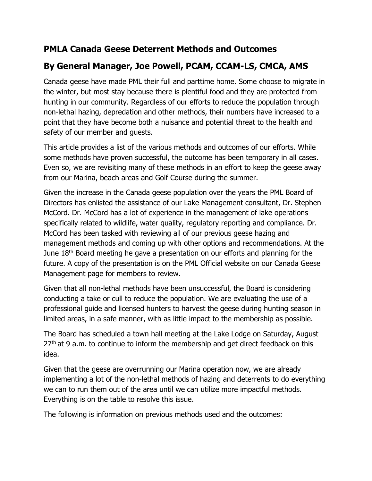# PMLA Canada Geese Deterrent Methods and Outcomes

# By General Manager, Joe Powell, PCAM, CCAM-LS, CMCA, AMS

Canada geese have made PML their full and parttime home. Some choose to migrate in the winter, but most stay because there is plentiful food and they are protected from hunting in our community. Regardless of our efforts to reduce the population through non-lethal hazing, depredation and other methods, their numbers have increased to a point that they have become both a nuisance and potential threat to the health and safety of our member and guests.

This article provides a list of the various methods and outcomes of our efforts. While some methods have proven successful, the outcome has been temporary in all cases. Even so, we are revisiting many of these methods in an effort to keep the geese away from our Marina, beach areas and Golf Course during the summer.

Given the increase in the Canada geese population over the years the PML Board of Directors has enlisted the assistance of our Lake Management consultant, Dr. Stephen McCord. Dr. McCord has a lot of experience in the management of lake operations specifically related to wildlife, water quality, regulatory reporting and compliance. Dr. McCord has been tasked with reviewing all of our previous geese hazing and management methods and coming up with other options and recommendations. At the June 18<sup>th</sup> Board meeting he gave a presentation on our efforts and planning for the future. A copy of the presentation is on the PML Official website on our Canada Geese Management page for members to review.

Given that all non-lethal methods have been unsuccessful, the Board is considering conducting a take or cull to reduce the population. We are evaluating the use of a professional guide and licensed hunters to harvest the geese during hunting season in limited areas, in a safe manner, with as little impact to the membership as possible.

The Board has scheduled a town hall meeting at the Lake Lodge on Saturday, August  $27<sup>th</sup>$  at 9 a.m. to continue to inform the membership and get direct feedback on this idea.

Given that the geese are overrunning our Marina operation now, we are already implementing a lot of the non-lethal methods of hazing and deterrents to do everything we can to run them out of the area until we can utilize more impactful methods. Everything is on the table to resolve this issue.

The following is information on previous methods used and the outcomes: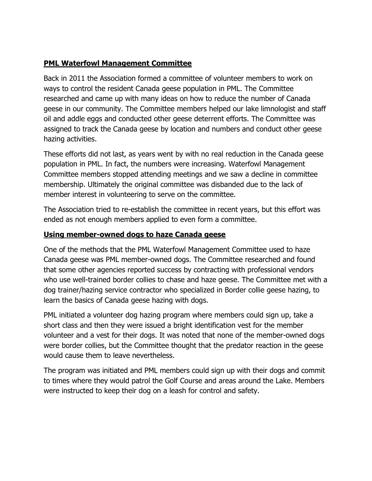### PML Waterfowl Management Committee

Back in 2011 the Association formed a committee of volunteer members to work on ways to control the resident Canada geese population in PML. The Committee researched and came up with many ideas on how to reduce the number of Canada geese in our community. The Committee members helped our lake limnologist and staff oil and addle eggs and conducted other geese deterrent efforts. The Committee was assigned to track the Canada geese by location and numbers and conduct other geese hazing activities.

These efforts did not last, as years went by with no real reduction in the Canada geese population in PML. In fact, the numbers were increasing. Waterfowl Management Committee members stopped attending meetings and we saw a decline in committee membership. Ultimately the original committee was disbanded due to the lack of member interest in volunteering to serve on the committee.

The Association tried to re-establish the committee in recent years, but this effort was ended as not enough members applied to even form a committee.

### Using member-owned dogs to haze Canada geese

One of the methods that the PML Waterfowl Management Committee used to haze Canada geese was PML member-owned dogs. The Committee researched and found that some other agencies reported success by contracting with professional vendors who use well-trained border collies to chase and haze geese. The Committee met with a dog trainer/hazing service contractor who specialized in Border collie geese hazing, to learn the basics of Canada geese hazing with dogs.

PML initiated a volunteer dog hazing program where members could sign up, take a short class and then they were issued a bright identification vest for the member volunteer and a vest for their dogs. It was noted that none of the member-owned dogs were border collies, but the Committee thought that the predator reaction in the geese would cause them to leave nevertheless.

The program was initiated and PML members could sign up with their dogs and commit to times where they would patrol the Golf Course and areas around the Lake. Members were instructed to keep their dog on a leash for control and safety.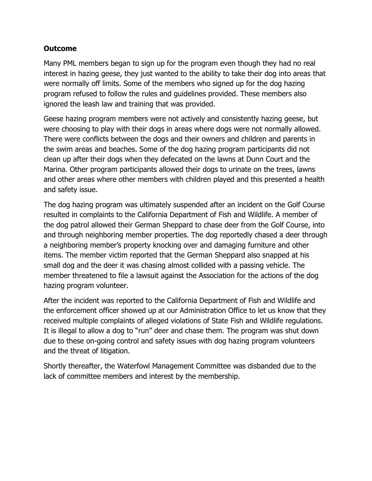Many PML members began to sign up for the program even though they had no real interest in hazing geese, they just wanted to the ability to take their dog into areas that were normally off limits. Some of the members who signed up for the dog hazing program refused to follow the rules and guidelines provided. These members also ignored the leash law and training that was provided.

Geese hazing program members were not actively and consistently hazing geese, but were choosing to play with their dogs in areas where dogs were not normally allowed. There were conflicts between the dogs and their owners and children and parents in the swim areas and beaches. Some of the dog hazing program participants did not clean up after their dogs when they defecated on the lawns at Dunn Court and the Marina. Other program participants allowed their dogs to urinate on the trees, lawns and other areas where other members with children played and this presented a health and safety issue.

The dog hazing program was ultimately suspended after an incident on the Golf Course resulted in complaints to the California Department of Fish and Wildlife. A member of the dog patrol allowed their German Sheppard to chase deer from the Golf Course, into and through neighboring member properties. The dog reportedly chased a deer through a neighboring member's property knocking over and damaging furniture and other items. The member victim reported that the German Sheppard also snapped at his small dog and the deer it was chasing almost collided with a passing vehicle. The member threatened to file a lawsuit against the Association for the actions of the dog hazing program volunteer.

After the incident was reported to the California Department of Fish and Wildlife and the enforcement officer showed up at our Administration Office to let us know that they received multiple complaints of alleged violations of State Fish and Wildlife regulations. It is illegal to allow a dog to "run" deer and chase them. The program was shut down due to these on-going control and safety issues with dog hazing program volunteers and the threat of litigation.

Shortly thereafter, the Waterfowl Management Committee was disbanded due to the lack of committee members and interest by the membership.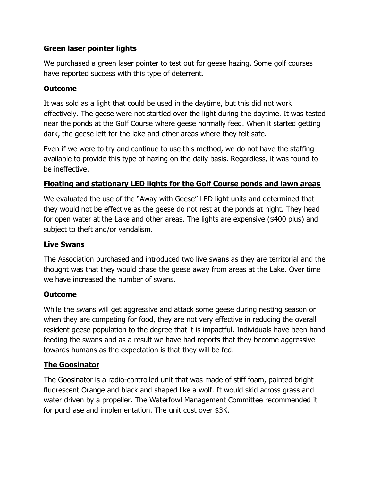### Green laser pointer lights

We purchased a green laser pointer to test out for geese hazing. Some golf courses have reported success with this type of deterrent.

### Outcome

It was sold as a light that could be used in the daytime, but this did not work effectively. The geese were not startled over the light during the daytime. It was tested near the ponds at the Golf Course where geese normally feed. When it started getting dark, the geese left for the lake and other areas where they felt safe.

Even if we were to try and continue to use this method, we do not have the staffing available to provide this type of hazing on the daily basis. Regardless, it was found to be ineffective.

### Floating and stationary LED lights for the Golf Course ponds and lawn areas

We evaluated the use of the "Away with Geese" LED light units and determined that they would not be effective as the geese do not rest at the ponds at night. They head for open water at the Lake and other areas. The lights are expensive (\$400 plus) and subject to theft and/or vandalism.

#### Live Swans

The Association purchased and introduced two live swans as they are territorial and the thought was that they would chase the geese away from areas at the Lake. Over time we have increased the number of swans.

# **Outcome**

While the swans will get aggressive and attack some geese during nesting season or when they are competing for food, they are not very effective in reducing the overall resident geese population to the degree that it is impactful. Individuals have been hand feeding the swans and as a result we have had reports that they become aggressive towards humans as the expectation is that they will be fed.

# The Goosinator

The Goosinator is a radio-controlled unit that was made of stiff foam, painted bright fluorescent Orange and black and shaped like a wolf. It would skid across grass and water driven by a propeller. The Waterfowl Management Committee recommended it for purchase and implementation. The unit cost over \$3K.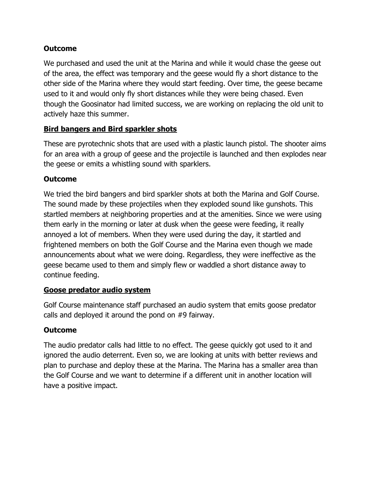We purchased and used the unit at the Marina and while it would chase the geese out of the area, the effect was temporary and the geese would fly a short distance to the other side of the Marina where they would start feeding. Over time, the geese became used to it and would only fly short distances while they were being chased. Even though the Goosinator had limited success, we are working on replacing the old unit to actively haze this summer.

# **Bird bangers and Bird sparkler shots**

These are pyrotechnic shots that are used with a plastic launch pistol. The shooter aims for an area with a group of geese and the projectile is launched and then explodes near the geese or emits a whistling sound with sparklers.

# Outcome

We tried the bird bangers and bird sparkler shots at both the Marina and Golf Course. The sound made by these projectiles when they exploded sound like gunshots. This startled members at neighboring properties and at the amenities. Since we were using them early in the morning or later at dusk when the geese were feeding, it really annoyed a lot of members. When they were used during the day, it startled and frightened members on both the Golf Course and the Marina even though we made announcements about what we were doing. Regardless, they were ineffective as the geese became used to them and simply flew or waddled a short distance away to continue feeding.

# Goose predator audio system

Golf Course maintenance staff purchased an audio system that emits goose predator calls and deployed it around the pond on #9 fairway.

# **Outcome**

The audio predator calls had little to no effect. The geese quickly got used to it and ignored the audio deterrent. Even so, we are looking at units with better reviews and plan to purchase and deploy these at the Marina. The Marina has a smaller area than the Golf Course and we want to determine if a different unit in another location will have a positive impact.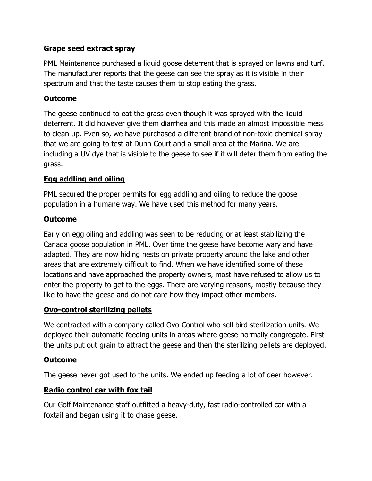### Grape seed extract spray

PML Maintenance purchased a liquid goose deterrent that is sprayed on lawns and turf. The manufacturer reports that the geese can see the spray as it is visible in their spectrum and that the taste causes them to stop eating the grass.

### Outcome

The geese continued to eat the grass even though it was sprayed with the liquid deterrent. It did however give them diarrhea and this made an almost impossible mess to clean up. Even so, we have purchased a different brand of non-toxic chemical spray that we are going to test at Dunn Court and a small area at the Marina. We are including a UV dye that is visible to the geese to see if it will deter them from eating the grass.

### Egg addling and oiling

PML secured the proper permits for egg addling and oiling to reduce the goose population in a humane way. We have used this method for many years.

### Outcome

Early on egg oiling and addling was seen to be reducing or at least stabilizing the Canada goose population in PML. Over time the geese have become wary and have adapted. They are now hiding nests on private property around the lake and other areas that are extremely difficult to find. When we have identified some of these locations and have approached the property owners, most have refused to allow us to enter the property to get to the eggs. There are varying reasons, mostly because they like to have the geese and do not care how they impact other members.

#### Ovo-control sterilizing pellets

We contracted with a company called Ovo-Control who sell bird sterilization units. We deployed their automatic feeding units in areas where geese normally congregate. First the units put out grain to attract the geese and then the sterilizing pellets are deployed.

# Outcome

The geese never got used to the units. We ended up feeding a lot of deer however.

# Radio control car with fox tail

Our Golf Maintenance staff outfitted a heavy-duty, fast radio-controlled car with a foxtail and began using it to chase geese.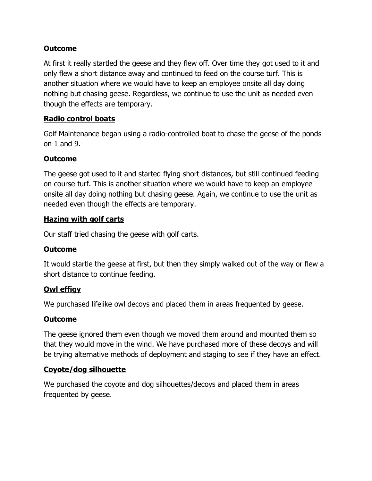At first it really startled the geese and they flew off. Over time they got used to it and only flew a short distance away and continued to feed on the course turf. This is another situation where we would have to keep an employee onsite all day doing nothing but chasing geese. Regardless, we continue to use the unit as needed even though the effects are temporary.

# Radio control boats

Golf Maintenance began using a radio-controlled boat to chase the geese of the ponds on 1 and 9.

# Outcome

The geese got used to it and started flying short distances, but still continued feeding on course turf. This is another situation where we would have to keep an employee onsite all day doing nothing but chasing geese. Again, we continue to use the unit as needed even though the effects are temporary.

# Hazing with golf carts

Our staff tried chasing the geese with golf carts.

# **Outcome**

It would startle the geese at first, but then they simply walked out of the way or flew a short distance to continue feeding.

# Owl effigy

We purchased lifelike owl decoys and placed them in areas frequented by geese.

# **Outcome**

The geese ignored them even though we moved them around and mounted them so that they would move in the wind. We have purchased more of these decoys and will be trying alternative methods of deployment and staging to see if they have an effect.

# Coyote/dog silhouette

We purchased the coyote and dog silhouettes/decoys and placed them in areas frequented by geese.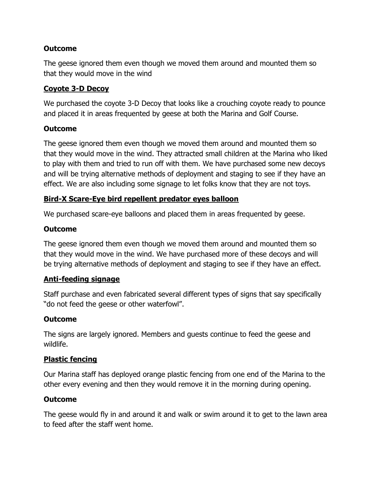The geese ignored them even though we moved them around and mounted them so that they would move in the wind

### Coyote 3-D Decoy

We purchased the coyote 3-D Decoy that looks like a crouching coyote ready to pounce and placed it in areas frequented by geese at both the Marina and Golf Course.

### Outcome

The geese ignored them even though we moved them around and mounted them so that they would move in the wind. They attracted small children at the Marina who liked to play with them and tried to run off with them. We have purchased some new decoys and will be trying alternative methods of deployment and staging to see if they have an effect. We are also including some signage to let folks know that they are not toys.

# Bird-X Scare-Eye bird repellent predator eyes balloon

We purchased scare-eye balloons and placed them in areas frequented by geese.

### **Outcome**

The geese ignored them even though we moved them around and mounted them so that they would move in the wind. We have purchased more of these decoys and will be trying alternative methods of deployment and staging to see if they have an effect.

#### Anti-feeding signage

Staff purchase and even fabricated several different types of signs that say specifically "do not feed the geese or other waterfowl".

# **Outcome**

The signs are largely ignored. Members and guests continue to feed the geese and wildlife.

# Plastic fencing

Our Marina staff has deployed orange plastic fencing from one end of the Marina to the other every evening and then they would remove it in the morning during opening.

# Outcome

The geese would fly in and around it and walk or swim around it to get to the lawn area to feed after the staff went home.